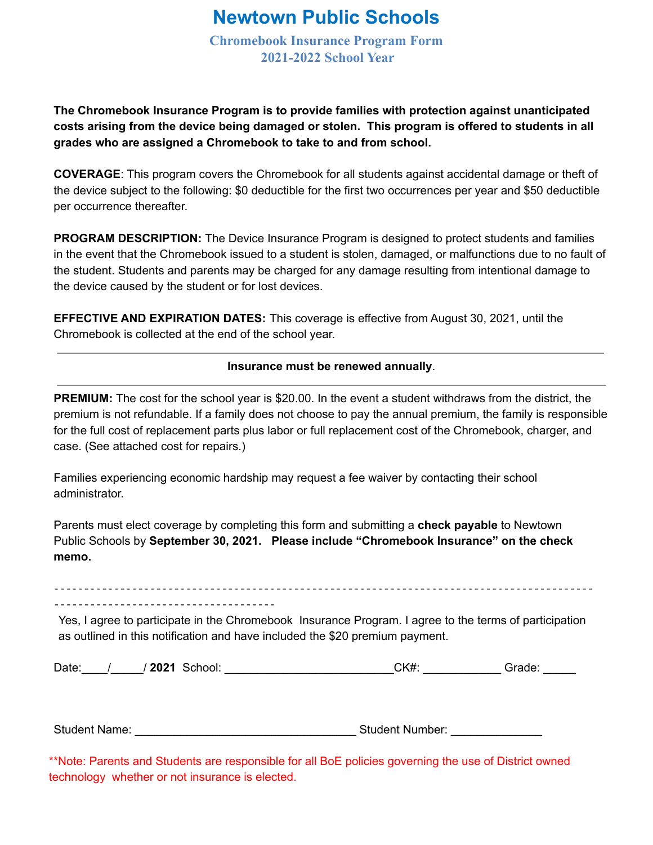## **Newtown Public Schools**

**Chromebook Insurance Program Form 2021-2022 School Year**

**The Chromebook Insurance Program is to provide families with protection against unanticipated costs arising from the device being damaged or stolen. This program is offered to students in all grades who are assigned a Chromebook to take to and from school.**

**COVERAGE**: This program covers the Chromebook for all students against accidental damage or theft of the device subject to the following: \$0 deductible for the first two occurrences per year and \$50 deductible per occurrence thereafter.

**PROGRAM DESCRIPTION:** The Device Insurance Program is designed to protect students and families in the event that the Chromebook issued to a student is stolen, damaged, or malfunctions due to no fault of the student. Students and parents may be charged for any damage resulting from intentional damage to the device caused by the student or for lost devices.

**EFFECTIVE AND EXPIRATION DATES:** This coverage is effective from August 30, 2021, until the Chromebook is collected at the end of the school year.

## **Insurance must be renewed annually**.

**PREMIUM:** The cost for the school year is \$20.00. In the event a student withdraws from the district, the premium is not refundable. If a family does not choose to pay the annual premium, the family is responsible for the full cost of replacement parts plus labor or full replacement cost of the Chromebook, charger, and case. (See attached cost for repairs.)

Families experiencing economic hardship may request a fee waiver by contacting their school administrator.

Parents must elect coverage by completing this form and submitting a **check payable** to Newtown Public Schools by **September 30, 2021. Please include "Chromebook Insurance" on the check memo.**

‐‐‐‐‐‐‐‐‐‐‐‐‐‐‐‐‐‐‐‐‐‐‐‐‐‐‐‐‐‐‐‐‐‐‐‐‐‐‐‐‐‐‐‐‐‐‐‐‐‐‐‐‐‐‐‐‐‐‐‐‐‐‐‐‐‐‐‐‐‐‐‐‐‐‐‐‐‐‐‐‐‐‐‐‐‐‐‐‐‐ ‐‐‐‐‐‐‐‐‐‐‐‐‐‐‐‐‐‐‐‐‐‐‐‐‐‐‐‐‐‐‐‐‐‐‐‐‐

Yes, I agree to participate in the Chromebook Insurance Program. I agree to the terms of participation as outlined in this notification and have included the \$20 premium payment.

| Date: | 2021 | School: | CK# | Grade: |
|-------|------|---------|-----|--------|
|       |      |         |     |        |

Student Name: etc. and the student Number:  $\sim$  Student Number:

\*\*Note: Parents and Students are responsible for all BoE policies governing the use of District owned technology whether or not insurance is elected.